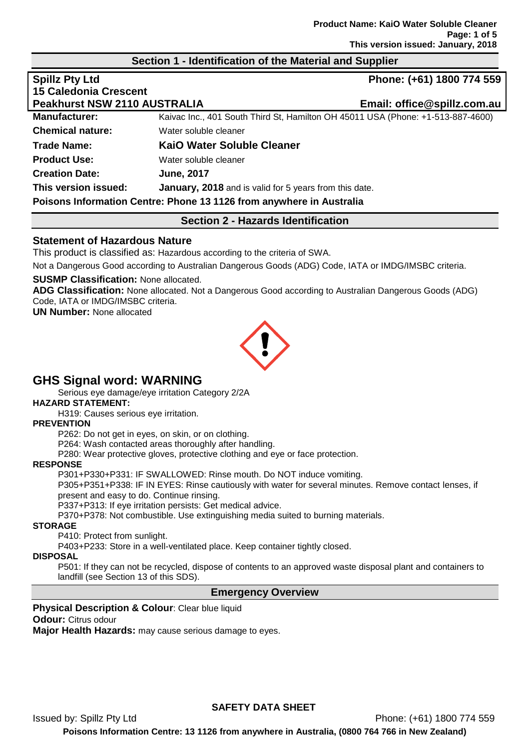#### **Section 1 - Identification of the Material and Supplier**

| <b>Spillz Pty Ltd</b>               |                                                                                 | Phone: (+61) 1800 774 559   |
|-------------------------------------|---------------------------------------------------------------------------------|-----------------------------|
| <b>15 Caledonia Crescent</b>        |                                                                                 |                             |
| <b>Peakhurst NSW 2110 AUSTRALIA</b> |                                                                                 | Email: office@spillz.com.au |
| <b>Manufacturer:</b>                | Kaivac Inc., 401 South Third St, Hamilton OH 45011 USA (Phone: +1-513-887-4600) |                             |
| <b>Chemical nature:</b>             | Water soluble cleaner                                                           |                             |
| <b>Trade Name:</b>                  | <b>KaiO Water Soluble Cleaner</b>                                               |                             |
| <b>Product Use:</b>                 | Water soluble cleaner                                                           |                             |
| <b>Creation Date:</b>               | <b>June, 2017</b>                                                               |                             |
| This version issued:                | <b>January, 2018</b> and is valid for 5 years from this date.                   |                             |
|                                     | Poisons Information Centre: Phone 13 1126 from anywhere in Australia            |                             |

# **Section 2 - Hazards Identification**

# **Statement of Hazardous Nature**

This product is classified as: Hazardous according to the criteria of SWA.

Not a Dangerous Good according to Australian Dangerous Goods (ADG) Code, IATA or IMDG/IMSBC criteria.

#### **SUSMP Classification:** None allocated.

**ADG Classification:** None allocated. Not a Dangerous Good according to Australian Dangerous Goods (ADG) Code, IATA or IMDG/IMSBC criteria.

**UN Number:** None allocated



# **GHS Signal word: WARNING**

Serious eye damage/eye irritation Category 2/2A

**HAZARD STATEMENT:**

H319: Causes serious eye irritation.

#### **PREVENTION**

P262: Do not get in eyes, on skin, or on clothing.

P264: Wash contacted areas thoroughly after handling.

P280: Wear protective gloves, protective clothing and eye or face protection.

#### **RESPONSE**

P301+P330+P331: IF SWALLOWED: Rinse mouth. Do NOT induce vomiting.

P305+P351+P338: IF IN EYES: Rinse cautiously with water for several minutes. Remove contact lenses, if present and easy to do. Continue rinsing.

P337+P313: If eye irritation persists: Get medical advice.

P370+P378: Not combustible. Use extinguishing media suited to burning materials.

#### **STORAGE**

P410: Protect from sunlight.

P403+P233: Store in a well-ventilated place. Keep container tightly closed.

#### **DISPOSAL**

P501: If they can not be recycled, dispose of contents to an approved waste disposal plant and containers to landfill (see Section 13 of this SDS).

# **Emergency Overview**

#### **Physical Description & Colour: Clear blue liquid**

#### **Odour:** Citrus odour

**Major Health Hazards:** may cause serious damage to eyes.

**SAFETY DATA SHEET**

Issued by: Spillz Pty Ltd Phone: (+61) 1800 774 559

**Poisons Information Centre: 13 1126 from anywhere in Australia, (0800 764 766 in New Zealand)**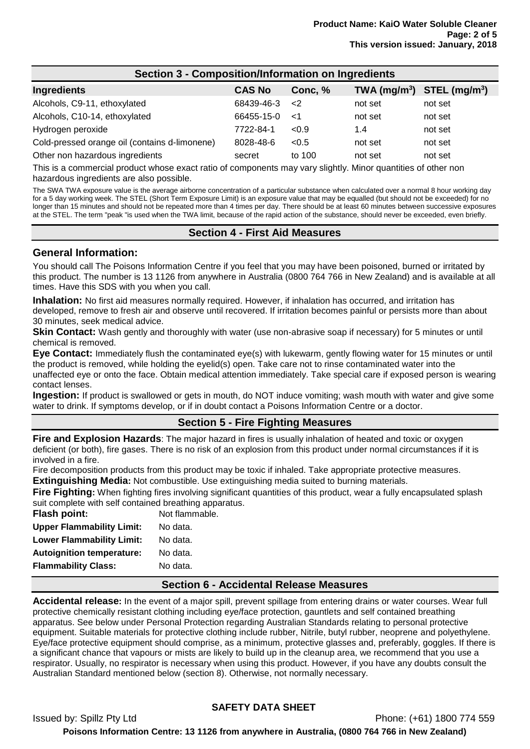| <b>Section 3 - Composition/Information on Ingredients</b> |               |             |                                |         |
|-----------------------------------------------------------|---------------|-------------|--------------------------------|---------|
| Ingredients                                               | <b>CAS No</b> | Conc. %     | TWA $(mg/m^3)$ STEL $(mg/m^3)$ |         |
| Alcohols, C9-11, ethoxylated                              | 68439-46-3    | $\langle$ 2 | not set                        | not set |
| Alcohols, C10-14, ethoxylated                             | 66455-15-0    | 1>          | not set                        | not set |
| Hydrogen peroxide                                         | 7722-84-1     | < 0.9       | 1.4                            | not set |
| Cold-pressed orange oil (contains d-limonene)             | 8028-48-6     | < 0.5       | not set                        | not set |
| Other non hazardous ingredients                           | secret        | to 100      | not set                        | not set |

This is a commercial product whose exact ratio of components may vary slightly. Minor quantities of other non hazardous ingredients are also possible.

The SWA TWA exposure value is the average airborne concentration of a particular substance when calculated over a normal 8 hour working day for a 5 day working week. The STEL (Short Term Exposure Limit) is an exposure value that may be equalled (but should not be exceeded) for no longer than 15 minutes and should not be repeated more than 4 times per day. There should be at least 60 minutes between successive exposures at the STEL. The term "peak "is used when the TWA limit, because of the rapid action of the substance, should never be exceeded, even briefly.

#### **Section 4 - First Aid Measures**

#### **General Information:**

You should call The Poisons Information Centre if you feel that you may have been poisoned, burned or irritated by this product. The number is 13 1126 from anywhere in Australia (0800 764 766 in New Zealand) and is available at all times. Have this SDS with you when you call.

**Inhalation:** No first aid measures normally required. However, if inhalation has occurred, and irritation has developed, remove to fresh air and observe until recovered. If irritation becomes painful or persists more than about 30 minutes, seek medical advice.

**Skin Contact:** Wash gently and thoroughly with water (use non-abrasive soap if necessary) for 5 minutes or until chemical is removed.

**Eye Contact:** Immediately flush the contaminated eye(s) with lukewarm, gently flowing water for 15 minutes or until the product is removed, while holding the eyelid(s) open. Take care not to rinse contaminated water into the unaffected eye or onto the face. Obtain medical attention immediately. Take special care if exposed person is wearing contact lenses.

**Ingestion:** If product is swallowed or gets in mouth, do NOT induce vomiting; wash mouth with water and give some water to drink. If symptoms develop, or if in doubt contact a Poisons Information Centre or a doctor.

#### **Section 5 - Fire Fighting Measures**

**Fire and Explosion Hazards**: The major hazard in fires is usually inhalation of heated and toxic or oxygen deficient (or both), fire gases. There is no risk of an explosion from this product under normal circumstances if it is involved in a fire.

Fire decomposition products from this product may be toxic if inhaled. Take appropriate protective measures. **Extinguishing Media:** Not combustible. Use extinguishing media suited to burning materials.

**Fire Fighting:** When fighting fires involving significant quantities of this product, wear a fully encapsulated splash suit complete with self contained breathing apparatus.

| Flash point:                     | Not flammable. |
|----------------------------------|----------------|
| <b>Upper Flammability Limit:</b> | No data.       |
| <b>Lower Flammability Limit:</b> | No data.       |
| <b>Autoignition temperature:</b> | No data.       |
| <b>Flammability Class:</b>       | No data.       |
|                                  |                |

#### **Section 6 - Accidental Release Measures**

**Accidental release:** In the event of a major spill, prevent spillage from entering drains or water courses. Wear full protective chemically resistant clothing including eye/face protection, gauntlets and self contained breathing apparatus. See below under Personal Protection regarding Australian Standards relating to personal protective equipment. Suitable materials for protective clothing include rubber, Nitrile, butyl rubber, neoprene and polyethylene. Eye/face protective equipment should comprise, as a minimum, protective glasses and, preferably, goggles. If there is a significant chance that vapours or mists are likely to build up in the cleanup area, we recommend that you use a respirator. Usually, no respirator is necessary when using this product. However, if you have any doubts consult the Australian Standard mentioned below (section 8). Otherwise, not normally necessary.

#### **SAFETY DATA SHEET**

Issued by: Spillz Pty Ltd Phone: (+61) 1800 774 559 **Poisons Information Centre: 13 1126 from anywhere in Australia, (0800 764 766 in New Zealand)**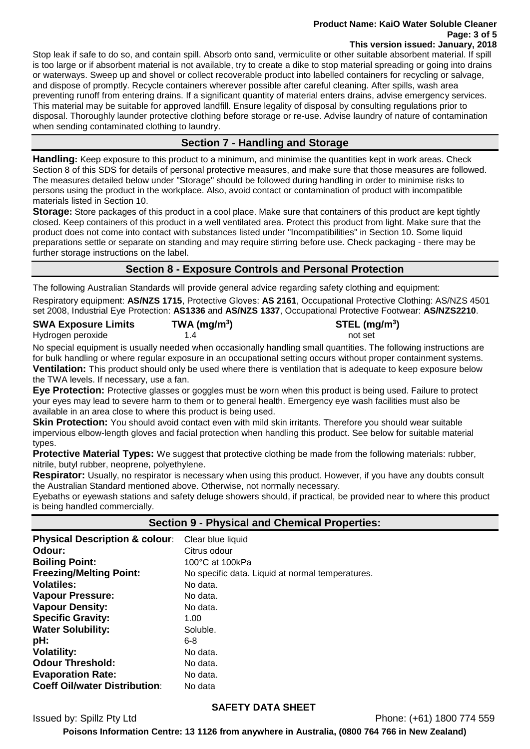#### **Product Name: KaiO Water Soluble Cleaner Page: 3 of 5 This version issued: January, 2018**

Stop leak if safe to do so, and contain spill. Absorb onto sand, vermiculite or other suitable absorbent material. If spill is too large or if absorbent material is not available, try to create a dike to stop material spreading or going into drains or waterways. Sweep up and shovel or collect recoverable product into labelled containers for recycling or salvage, and dispose of promptly. Recycle containers wherever possible after careful cleaning. After spills, wash area preventing runoff from entering drains. If a significant quantity of material enters drains, advise emergency services. This material may be suitable for approved landfill. Ensure legality of disposal by consulting regulations prior to disposal. Thoroughly launder protective clothing before storage or re-use. Advise laundry of nature of contamination when sending contaminated clothing to laundry.

# **Section 7 - Handling and Storage**

**Handling:** Keep exposure to this product to a minimum, and minimise the quantities kept in work areas. Check Section 8 of this SDS for details of personal protective measures, and make sure that those measures are followed. The measures detailed below under "Storage" should be followed during handling in order to minimise risks to persons using the product in the workplace. Also, avoid contact or contamination of product with incompatible materials listed in Section 10.

**Storage:** Store packages of this product in a cool place. Make sure that containers of this product are kept tightly closed. Keep containers of this product in a well ventilated area. Protect this product from light. Make sure that the product does not come into contact with substances listed under "Incompatibilities" in Section 10. Some liquid preparations settle or separate on standing and may require stirring before use. Check packaging - there may be further storage instructions on the label.

# **Section 8 - Exposure Controls and Personal Protection**

The following Australian Standards will provide general advice regarding safety clothing and equipment:

Respiratory equipment: **AS/NZS 1715**, Protective Gloves: **AS 2161**, Occupational Protective Clothing: AS/NZS 4501 set 2008, Industrial Eye Protection: **AS1336** and **AS/NZS 1337**, Occupational Protective Footwear: **AS/NZS2210**.

| <b>SWA Exposure Limits</b> | TWA (mg/m <sup>3</sup> ) | STEL (mg/m <sup>3</sup> ) |
|----------------------------|--------------------------|---------------------------|
| Hydrogen peroxide          | 14                       | not set                   |

No special equipment is usually needed when occasionally handling small quantities. The following instructions are for bulk handling or where regular exposure in an occupational setting occurs without proper containment systems. **Ventilation:** This product should only be used where there is ventilation that is adequate to keep exposure below the TWA levels. If necessary, use a fan.

**Eye Protection:** Protective glasses or goggles must be worn when this product is being used. Failure to protect your eyes may lead to severe harm to them or to general health. Emergency eye wash facilities must also be available in an area close to where this product is being used.

**Skin Protection:** You should avoid contact even with mild skin irritants. Therefore you should wear suitable impervious elbow-length gloves and facial protection when handling this product. See below for suitable material types.

**Protective Material Types:** We suggest that protective clothing be made from the following materials: rubber, nitrile, butyl rubber, neoprene, polyethylene.

**Respirator:** Usually, no respirator is necessary when using this product. However, if you have any doubts consult the Australian Standard mentioned above. Otherwise, not normally necessary.

Eyebaths or eyewash stations and safety deluge showers should, if practical, be provided near to where this product is being handled commercially.

**Section 9 - Physical and Chemical Properties:**

| <b>Physical Description &amp; colour:</b> | Clear blue liquid                                |
|-------------------------------------------|--------------------------------------------------|
| Odour:                                    | Citrus odour                                     |
| <b>Boiling Point:</b>                     | 100°C at 100kPa                                  |
| <b>Freezing/Melting Point:</b>            | No specific data. Liquid at normal temperatures. |
| <b>Volatiles:</b>                         | No data.                                         |
| <b>Vapour Pressure:</b>                   | No data.                                         |
| <b>Vapour Density:</b>                    | No data.                                         |
| <b>Specific Gravity:</b>                  | 1.00                                             |
| <b>Water Solubility:</b>                  | Soluble.                                         |
| pH:                                       | 6-8                                              |
| <b>Volatility:</b>                        | No data.                                         |
| <b>Odour Threshold:</b>                   | No data.                                         |
| <b>Evaporation Rate:</b>                  | No data.                                         |
| <b>Coeff Oil/water Distribution:</b>      | No data                                          |

#### **SAFETY DATA SHEET**

Issued by: Spillz Pty Ltd Phone: (+61) 1800 774 559

**Poisons Information Centre: 13 1126 from anywhere in Australia, (0800 764 766 in New Zealand)**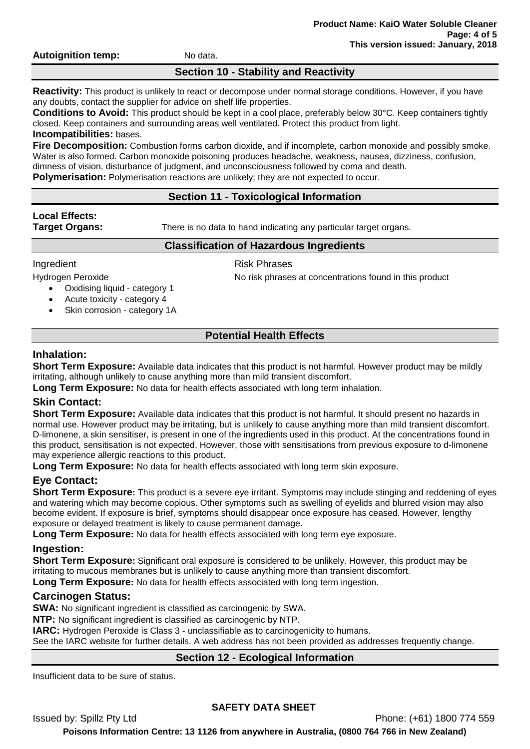**Autoignition temp:** No data.

# **Section 10 - Stability and Reactivity**

**Reactivity:** This product is unlikely to react or decompose under normal storage conditions. However, if you have any doubts, contact the supplier for advice on shelf life properties.

**Conditions to Avoid:** This product should be kept in a cool place, preferably below 30°C. Keep containers tightly closed. Keep containers and surrounding areas well ventilated. Protect this product from light. **Incompatibilities:** bases.

**Fire Decomposition:** Combustion forms carbon dioxide, and if incomplete, carbon monoxide and possibly smoke. Water is also formed. Carbon monoxide poisoning produces headache, weakness, nausea, dizziness, confusion, dimness of vision, disturbance of judgment, and unconsciousness followed by coma and death.

**Polymerisation:** Polymerisation reactions are unlikely; they are not expected to occur.

# **Section 11 - Toxicological Information**

# **Local Effects:**

**Target Organs:** There is no data to hand indicating any particular target organs.

# **Classification of Hazardous Ingredients**

- Oxidising liquid category 1
- Acute toxicity category 4
- Skin corrosion category 1A

# Ingredient **Risk Phrases**

Hydrogen Peroxide **No risk phrases at concentrations found in this product** 

# **Potential Health Effects**

# **Inhalation:**

**Short Term Exposure:** Available data indicates that this product is not harmful. However product may be mildly irritating, although unlikely to cause anything more than mild transient discomfort.

**Long Term Exposure:** No data for health effects associated with long term inhalation.

# **Skin Contact:**

**Short Term Exposure:** Available data indicates that this product is not harmful. It should present no hazards in normal use. However product may be irritating, but is unlikely to cause anything more than mild transient discomfort. D-limonene, a skin sensitiser, is present in one of the ingredients used in this product. At the concentrations found in this product, sensitisation is not expected. However, those with sensitisations from previous exposure to d-limonene may experience allergic reactions to this product.

**Long Term Exposure:** No data for health effects associated with long term skin exposure.

# **Eye Contact:**

**Short Term Exposure:** This product is a severe eye irritant. Symptoms may include stinging and reddening of eyes and watering which may become copious. Other symptoms such as swelling of eyelids and blurred vision may also become evident. If exposure is brief, symptoms should disappear once exposure has ceased. However, lengthy exposure or delayed treatment is likely to cause permanent damage.

**Long Term Exposure:** No data for health effects associated with long term eye exposure.

# **Ingestion:**

**Short Term Exposure:** Significant oral exposure is considered to be unlikely. However, this product may be irritating to mucous membranes but is unlikely to cause anything more than transient discomfort. **Long Term Exposure:** No data for health effects associated with long term ingestion.

# **Carcinogen Status:**

**SWA:** No significant ingredient is classified as carcinogenic by SWA.

**NTP:** No significant ingredient is classified as carcinogenic by NTP.

**IARC:** Hydrogen Peroxide is Class 3 - unclassifiable as to carcinogenicity to humans.

See the IARC website for further details. A web address has not been provided as addresses frequently change.

# **Section 12 - Ecological Information**

Insufficient data to be sure of status.

# **SAFETY DATA SHEET**

Issued by: Spillz Pty Ltd Phone: (+61) 1800 774 559

**Poisons Information Centre: 13 1126 from anywhere in Australia, (0800 764 766 in New Zealand)**